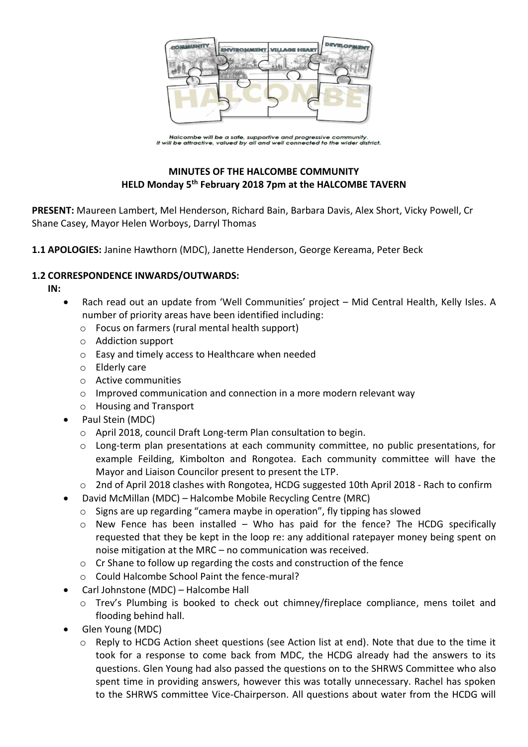

Halcombe will be a safe, supportive and progressive community.<br>It will be attractive, valued by all and well connected to the wider district.

## **MINUTES OF THE HALCOMBE COMMUNITY HELD Monday 5 th February 2018 7pm at the HALCOMBE TAVERN**

**PRESENT:** Maureen Lambert, Mel Henderson, Richard Bain, Barbara Davis, Alex Short, Vicky Powell, Cr Shane Casey, Mayor Helen Worboys, Darryl Thomas

**1.1 APOLOGIES:** Janine Hawthorn (MDC), Janette Henderson, George Kereama, Peter Beck

#### **1.2 CORRESPONDENCE INWARDS/OUTWARDS:**

**IN:** 

- Rach read out an update from 'Well Communities' project Mid Central Health, Kelly Isles. A number of priority areas have been identified including:
	- o Focus on farmers (rural mental health support)
	- o Addiction support
	- o Easy and timely access to Healthcare when needed
	- o Elderly care
	- o Active communities
	- o Improved communication and connection in a more modern relevant way
	- o Housing and Transport
- Paul Stein (MDC)
	- o April 2018, council Draft Long-term Plan consultation to begin.
	- $\circ$  Long-term plan presentations at each community committee, no public presentations, for example Feilding, Kimbolton and Rongotea. Each community committee will have the Mayor and Liaison Councilor present to present the LTP.
	- o 2nd of April 2018 clashes with Rongotea, HCDG suggested 10th April 2018 Rach to confirm
- David McMillan (MDC) Halcombe Mobile Recycling Centre (MRC)
	- o Signs are up regarding "camera maybe in operation", fly tipping has slowed
	- $\circ$  New Fence has been installed Who has paid for the fence? The HCDG specifically requested that they be kept in the loop re: any additional ratepayer money being spent on noise mitigation at the MRC – no communication was received.
	- o Cr Shane to follow up regarding the costs and construction of the fence
	- o Could Halcombe School Paint the fence-mural?
- Carl Johnstone (MDC) Halcombe Hall
	- o Trev's Plumbing is booked to check out chimney/fireplace compliance, mens toilet and flooding behind hall.
- Glen Young (MDC)
	- $\circ$  Reply to HCDG Action sheet questions (see Action list at end). Note that due to the time it took for a response to come back from MDC, the HCDG already had the answers to its questions. Glen Young had also passed the questions on to the SHRWS Committee who also spent time in providing answers, however this was totally unnecessary. Rachel has spoken to the SHRWS committee Vice-Chairperson. All questions about water from the HCDG will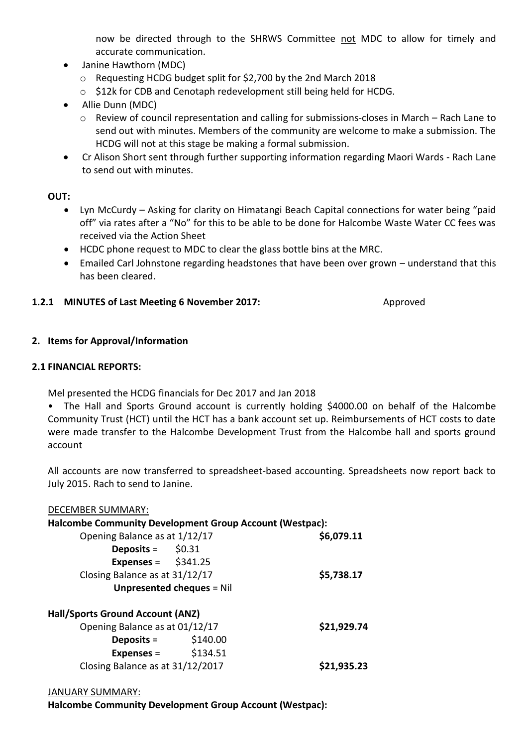now be directed through to the SHRWS Committee not MDC to allow for timely and accurate communication.

- Janine Hawthorn (MDC)
	- o Requesting HCDG budget split for \$2,700 by the 2nd March 2018
	- o \$12k for CDB and Cenotaph redevelopment still being held for HCDG.
- Allie Dunn (MDC)
	- o Review of council representation and calling for submissions-closes in March Rach Lane to send out with minutes. Members of the community are welcome to make a submission. The HCDG will not at this stage be making a formal submission.
- Cr Alison Short sent through further supporting information regarding Maori Wards Rach Lane to send out with minutes.

#### **OUT:**

- Lyn McCurdy Asking for clarity on Himatangi Beach Capital connections for water being "paid off" via rates after a "No" for this to be able to be done for Halcombe Waste Water CC fees was received via the Action Sheet
- HCDC phone request to MDC to clear the glass bottle bins at the MRC.
- Emailed Carl Johnstone regarding headstones that have been over grown understand that this has been cleared.

#### **1.2.1 MINUTES of Last Meeting 6 November 2017:** Approved

#### **2. Items for Approval/Information**

#### **2.1 FINANCIAL REPORTS:**

Mel presented the HCDG financials for Dec 2017 and Jan 2018

• The Hall and Sports Ground account is currently holding \$4000.00 on behalf of the Halcombe Community Trust (HCT) until the HCT has a bank account set up. Reimbursements of HCT costs to date were made transfer to the Halcombe Development Trust from the Halcombe hall and sports ground account

All accounts are now transferred to spreadsheet-based accounting. Spreadsheets now report back to July 2015. Rach to send to Janine.

| <b>DECEMBER SUMMARY:</b>                                       |          |             |
|----------------------------------------------------------------|----------|-------------|
| <b>Halcombe Community Development Group Account (Westpac):</b> |          |             |
| Opening Balance as at 1/12/17                                  |          | \$6,079.11  |
| <b>Deposits</b> = $$0.31$                                      |          |             |
| Expenses = $$341.25$                                           |          |             |
| Closing Balance as at 31/12/17                                 |          | \$5,738.17  |
| <b>Unpresented cheques = Nil</b>                               |          |             |
| <b>Hall/Sports Ground Account (ANZ)</b>                        |          |             |
| Opening Balance as at 01/12/17                                 |          | \$21,929.74 |
| Deposits $=$                                                   | \$140.00 |             |
| $Express =$                                                    | \$134.51 |             |
| Closing Balance as at 31/12/2017                               |          | S21.935.23  |

#### JANUARY SUMMARY:

**Halcombe Community Development Group Account (Westpac):**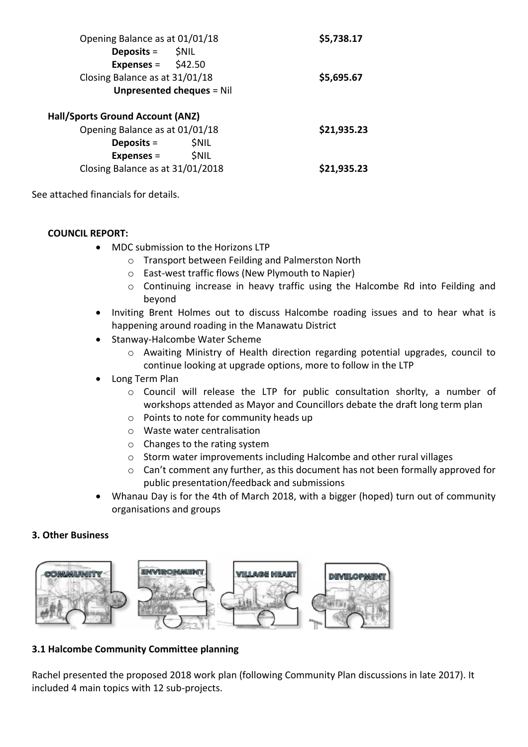| Opening Balance as at 01/01/18          | \$5,738.17  |
|-----------------------------------------|-------------|
| Deposits = \$NIL                        |             |
| Expenses = $$42.50$                     |             |
| Closing Balance as at 31/01/18          | \$5,695.67  |
| <b>Unpresented cheques = Nil</b>        |             |
| <b>Hall/Sports Ground Account (ANZ)</b> |             |
| Opening Balance as at 01/01/18          | \$21,935.23 |
| <b>SNIL</b><br>Deposits $=$             |             |

Closing Balance as at 31/01/2018 **\$21,935.23**

See attached financials for details.

#### **COUNCIL REPORT:**

• MDC submission to the Horizons LTP

**Expenses** = \$NIL

- o Transport between Feilding and Palmerston North
- o East-west traffic flows (New Plymouth to Napier)
- o Continuing increase in heavy traffic using the Halcombe Rd into Feilding and beyond
- Inviting Brent Holmes out to discuss Halcombe roading issues and to hear what is happening around roading in the Manawatu District
- Stanway-Halcombe Water Scheme
	- o Awaiting Ministry of Health direction regarding potential upgrades, council to continue looking at upgrade options, more to follow in the LTP
- Long Term Plan
	- o Council will release the LTP for public consultation shorlty, a number of workshops attended as Mayor and Councillors debate the draft long term plan
	- o Points to note for community heads up
	- o Waste water centralisation
	- o Changes to the rating system
	- o Storm water improvements including Halcombe and other rural villages
	- o Can't comment any further, as this document has not been formally approved for public presentation/feedback and submissions
- Whanau Day is for the 4th of March 2018, with a bigger (hoped) turn out of community organisations and groups

#### **3. Other Business**



## **3.1 Halcombe Community Committee planning**

Rachel presented the proposed 2018 work plan (following Community Plan discussions in late 2017). It included 4 main topics with 12 sub-projects.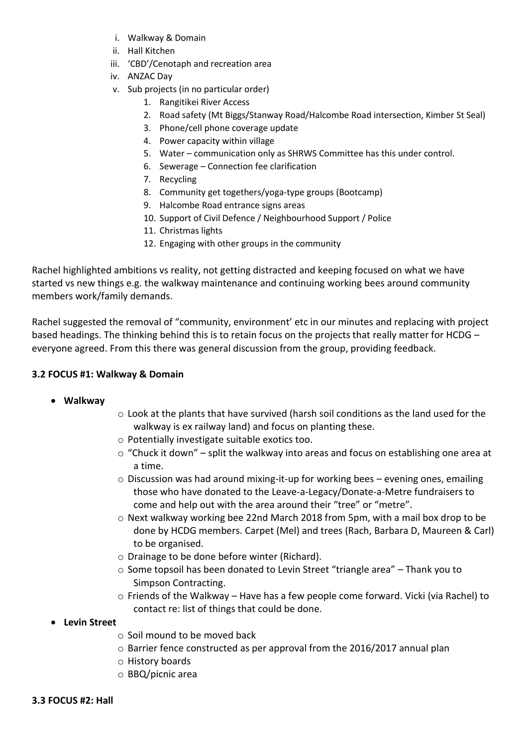- i. Walkway & Domain
- ii. Hall Kitchen
- iii. 'CBD'/Cenotaph and recreation area
- iv. ANZAC Day
- v. Sub projects (in no particular order)
	- 1. Rangitikei River Access
	- 2. Road safety (Mt Biggs/Stanway Road/Halcombe Road intersection, Kimber St Seal)
	- 3. Phone/cell phone coverage update
	- 4. Power capacity within village
	- 5. Water communication only as SHRWS Committee has this under control.
	- 6. Sewerage Connection fee clarification
	- 7. Recycling
	- 8. Community get togethers/yoga-type groups (Bootcamp)
	- 9. Halcombe Road entrance signs areas
	- 10. Support of Civil Defence / Neighbourhood Support / Police
	- 11. Christmas lights
	- 12. Engaging with other groups in the community

Rachel highlighted ambitions vs reality, not getting distracted and keeping focused on what we have started vs new things e.g. the walkway maintenance and continuing working bees around community members work/family demands.

Rachel suggested the removal of "community, environment' etc in our minutes and replacing with project based headings. The thinking behind this is to retain focus on the projects that really matter for HCDG – everyone agreed. From this there was general discussion from the group, providing feedback.

#### **3.2 FOCUS #1: Walkway & Domain**

- **Walkway**
- o Look at the plants that have survived (harsh soil conditions as the land used for the walkway is ex railway land) and focus on planting these.
- o Potentially investigate suitable exotics too.
- $\circ$  "Chuck it down" split the walkway into areas and focus on establishing one area at a time.
- $\circ$  Discussion was had around mixing-it-up for working bees evening ones, emailing those who have donated to the Leave-a-Legacy/Donate-a-Metre fundraisers to come and help out with the area around their "tree" or "metre".
- o Next walkway working bee 22nd March 2018 from 5pm, with a mail box drop to be done by HCDG members. Carpet (Mel) and trees (Rach, Barbara D, Maureen & Carl) to be organised.
- o Drainage to be done before winter (Richard).
- $\circ$  Some topsoil has been donated to Levin Street "triangle area" Thank you to Simpson Contracting.
- o Friends of the Walkway Have has a few people come forward. Vicki (via Rachel) to contact re: list of things that could be done.
- **Levin Street**
	- o Soil mound to be moved back
	- o Barrier fence constructed as per approval from the 2016/2017 annual plan
	- o History boards
	- o BBQ/picnic area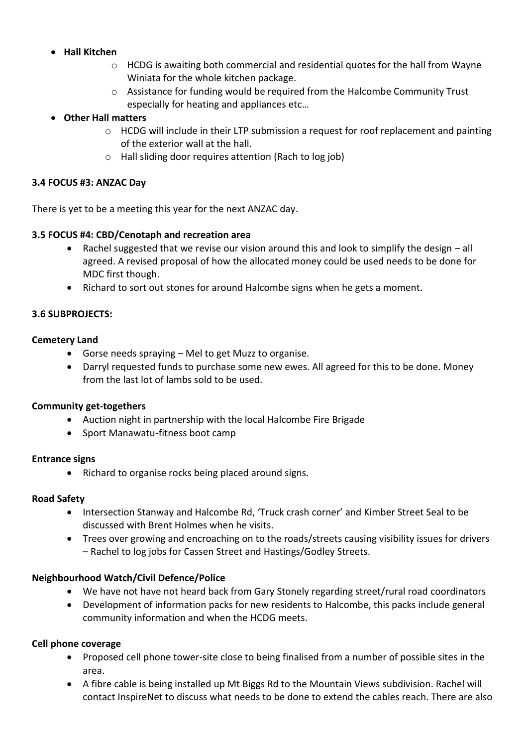## **Hall Kitchen**

- $\circ$  HCDG is awaiting both commercial and residential quotes for the hall from Wayne Winiata for the whole kitchen package.
- o Assistance for funding would be required from the Halcombe Community Trust especially for heating and appliances etc…

## **Other Hall matters**

- o HCDG will include in their LTP submission a request for roof replacement and painting of the exterior wall at the hall.
- o Hall sliding door requires attention (Rach to log job)

## **3.4 FOCUS #3: ANZAC Day**

There is yet to be a meeting this year for the next ANZAC day.

## **3.5 FOCUS #4: CBD/Cenotaph and recreation area**

- Rachel suggested that we revise our vision around this and look to simplify the design all agreed. A revised proposal of how the allocated money could be used needs to be done for MDC first though.
- Richard to sort out stones for around Halcombe signs when he gets a moment.

## **3.6 SUBPROJECTS:**

## **Cemetery Land**

- Gorse needs spraying Mel to get Muzz to organise.
- Darryl requested funds to purchase some new ewes. All agreed for this to be done. Money from the last lot of lambs sold to be used.

## **Community get-togethers**

- Auction night in partnership with the local Halcombe Fire Brigade
- Sport Manawatu-fitness boot camp

## **Entrance signs**

• Richard to organise rocks being placed around signs.

## **Road Safety**

- Intersection Stanway and Halcombe Rd, 'Truck crash corner' and Kimber Street Seal to be discussed with Brent Holmes when he visits.
- Trees over growing and encroaching on to the roads/streets causing visibility issues for drivers – Rachel to log jobs for Cassen Street and Hastings/Godley Streets.

## **Neighbourhood Watch/Civil Defence/Police**

- We have not have not heard back from Gary Stonely regarding street/rural road coordinators
- Development of information packs for new residents to Halcombe, this packs include general community information and when the HCDG meets.

## **Cell phone coverage**

- Proposed cell phone tower-site close to being finalised from a number of possible sites in the area.
- A fibre cable is being installed up Mt Biggs Rd to the Mountain Views subdivision. Rachel will contact InspireNet to discuss what needs to be done to extend the cables reach. There are also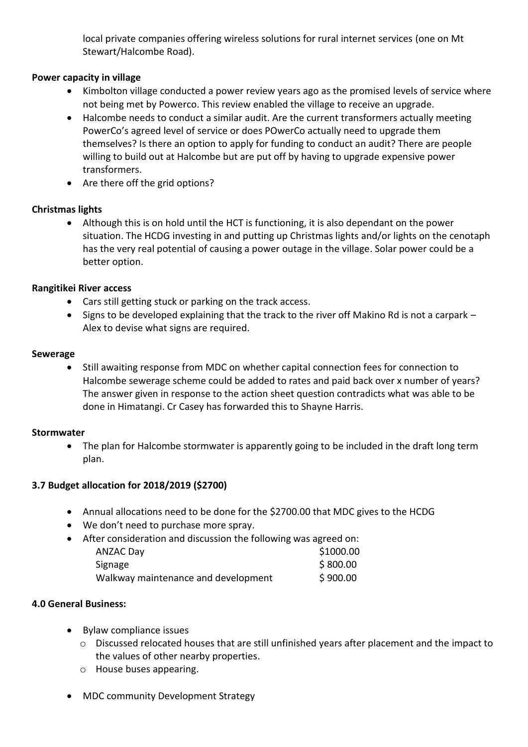local private companies offering wireless solutions for rural internet services (one on Mt Stewart/Halcombe Road).

## **Power capacity in village**

- Kimbolton village conducted a power review years ago as the promised levels of service where not being met by Powerco. This review enabled the village to receive an upgrade.
- Halcombe needs to conduct a similar audit. Are the current transformers actually meeting PowerCo's agreed level of service or does POwerCo actually need to upgrade them themselves? Is there an option to apply for funding to conduct an audit? There are people willing to build out at Halcombe but are put off by having to upgrade expensive power transformers.
- Are there off the grid options?

## **Christmas lights**

 Although this is on hold until the HCT is functioning, it is also dependant on the power situation. The HCDG investing in and putting up Christmas lights and/or lights on the cenotaph has the very real potential of causing a power outage in the village. Solar power could be a better option.

## **Rangitikei River access**

- Cars still getting stuck or parking on the track access.
- Signs to be developed explaining that the track to the river off Makino Rd is not a carpark Alex to devise what signs are required.

## **Sewerage**

 Still awaiting response from MDC on whether capital connection fees for connection to Halcombe sewerage scheme could be added to rates and paid back over x number of years? The answer given in response to the action sheet question contradicts what was able to be done in Himatangi. Cr Casey has forwarded this to Shayne Harris.

## **Stormwater**

 The plan for Halcombe stormwater is apparently going to be included in the draft long term plan.

## **3.7 Budget allocation for 2018/2019 (\$2700)**

- Annual allocations need to be done for the \$2700.00 that MDC gives to the HCDG
- We don't need to purchase more spray.
- After consideration and discussion the following was agreed on:

| <b>ANZAC Day</b>                    | \$1000.00 |
|-------------------------------------|-----------|
| Signage                             | \$800.00  |
| Walkway maintenance and development | \$900.00  |

## **4.0 General Business:**

- Bylaw compliance issues
	- $\circ$  Discussed relocated houses that are still unfinished years after placement and the impact to the values of other nearby properties.
	- o House buses appearing.
- MDC community Development Strategy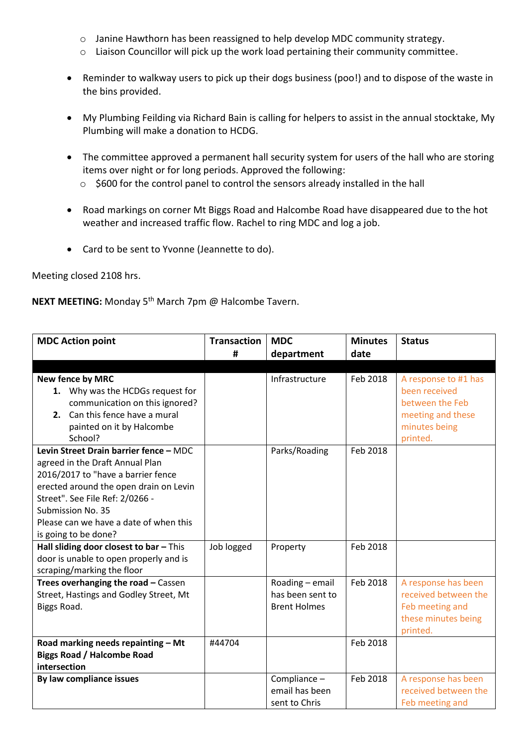- o Janine Hawthorn has been reassigned to help develop MDC community strategy.
- o Liaison Councillor will pick up the work load pertaining their community committee.
- Reminder to walkway users to pick up their dogs business (poo!) and to dispose of the waste in the bins provided.
- My Plumbing Feilding via Richard Bain is calling for helpers to assist in the annual stocktake, My Plumbing will make a donation to HCDG.
- The committee approved a permanent hall security system for users of the hall who are storing items over night or for long periods. Approved the following:
	- o \$600 for the control panel to control the sensors already installed in the hall
- Road markings on corner Mt Biggs Road and Halcombe Road have disappeared due to the hot weather and increased traffic flow. Rachel to ring MDC and log a job.
- Card to be sent to Yvonne (Jeannette to do).

Meeting closed 2108 hrs.

**NEXT MEETING:** Monday 5th March 7pm @ Halcombe Tavern.

| <b>MDC Action point</b>                                                                                                                                                                                                                                                             | <b>Transaction</b> | <b>MDC</b>                                                 | <b>Minutes</b> | <b>Status</b>                                                                                              |
|-------------------------------------------------------------------------------------------------------------------------------------------------------------------------------------------------------------------------------------------------------------------------------------|--------------------|------------------------------------------------------------|----------------|------------------------------------------------------------------------------------------------------------|
|                                                                                                                                                                                                                                                                                     | #                  | department                                                 | date           |                                                                                                            |
|                                                                                                                                                                                                                                                                                     |                    |                                                            |                |                                                                                                            |
| <b>New fence by MRC</b><br>1. Why was the HCDGs request for<br>communication on this ignored?<br>2. Can this fence have a mural<br>painted on it by Halcombe<br>School?                                                                                                             |                    | Infrastructure                                             | Feb 2018       | A response to #1 has<br>been received<br>between the Feb<br>meeting and these<br>minutes being<br>printed. |
| Levin Street Drain barrier fence - MDC<br>agreed in the Draft Annual Plan<br>2016/2017 to "have a barrier fence<br>erected around the open drain on Levin<br>Street". See File Ref: 2/0266 -<br>Submission No. 35<br>Please can we have a date of when this<br>is going to be done? |                    | Parks/Roading                                              | Feb 2018       |                                                                                                            |
| Hall sliding door closest to bar - This<br>door is unable to open properly and is<br>scraping/marking the floor                                                                                                                                                                     | Job logged         | Property                                                   | Feb 2018       |                                                                                                            |
| Trees overhanging the road - Cassen<br>Street, Hastings and Godley Street, Mt<br>Biggs Road.                                                                                                                                                                                        |                    | Roading - email<br>has been sent to<br><b>Brent Holmes</b> | Feb 2018       | A response has been<br>received between the<br>Feb meeting and<br>these minutes being<br>printed.          |
| Road marking needs repainting - Mt<br><b>Biggs Road / Halcombe Road</b><br>intersection                                                                                                                                                                                             | #44704             |                                                            | Feb 2018       |                                                                                                            |
| By law compliance issues                                                                                                                                                                                                                                                            |                    | Compliance -<br>email has been<br>sent to Chris            | Feb 2018       | A response has been<br>received between the<br>Feb meeting and                                             |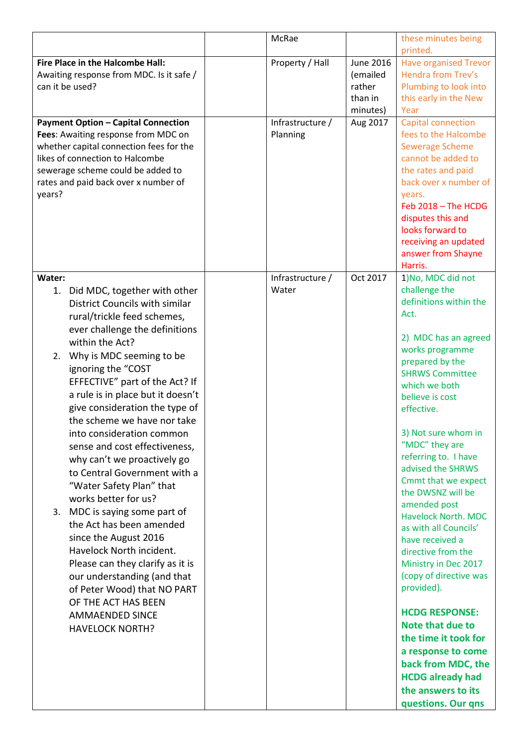|                                            | McRae            |           | these minutes being                   |
|--------------------------------------------|------------------|-----------|---------------------------------------|
|                                            |                  |           | printed.                              |
| Fire Place in the Halcombe Hall:           | Property / Hall  | June 2016 | <b>Have organised Trevor</b>          |
| Awaiting response from MDC. Is it safe /   |                  | (emailed  | Hendra from Trev's                    |
| can it be used?                            |                  | rather    | Plumbing to look into                 |
|                                            |                  | than in   | this early in the New                 |
|                                            |                  | minutes)  | Year                                  |
| <b>Payment Option - Capital Connection</b> | Infrastructure / | Aug 2017  | Capital connection                    |
| Fees: Awaiting response from MDC on        | Planning         |           | fees to the Halcombe                  |
| whether capital connection fees for the    |                  |           | <b>Sewerage Scheme</b>                |
| likes of connection to Halcombe            |                  |           | cannot be added to                    |
| sewerage scheme could be added to          |                  |           | the rates and paid                    |
| rates and paid back over x number of       |                  |           | back over x number of                 |
| years?                                     |                  |           | years.                                |
|                                            |                  |           | Feb 2018 - The HCDG                   |
|                                            |                  |           | disputes this and                     |
|                                            |                  |           | looks forward to                      |
|                                            |                  |           | receiving an updated                  |
|                                            |                  |           | answer from Shayne                    |
|                                            |                  |           | Harris.                               |
| Water:                                     | Infrastructure / | Oct 2017  | 1) No, MDC did not                    |
| 1. Did MDC, together with other            | Water            |           | challenge the                         |
| <b>District Councils with similar</b>      |                  |           | definitions within the                |
| rural/trickle feed schemes,                |                  |           | Act.                                  |
| ever challenge the definitions             |                  |           |                                       |
| within the Act?                            |                  |           | 2) MDC has an agreed                  |
| Why is MDC seeming to be<br>2.             |                  |           | works programme                       |
| ignoring the "COST                         |                  |           | prepared by the                       |
| EFFECTIVE" part of the Act? If             |                  |           | <b>SHRWS Committee</b>                |
| a rule is in place but it doesn't          |                  |           | which we both                         |
|                                            |                  |           | believe is cost                       |
| give consideration the type of             |                  |           | effective.                            |
| the scheme we have nor take                |                  |           |                                       |
| into consideration common                  |                  |           | 3) Not sure whom in<br>"MDC" they are |
| sense and cost effectiveness,              |                  |           | referring to. I have                  |
| why can't we proactively go                |                  |           | advised the SHRWS                     |
| to Central Government with a               |                  |           | Cmmt that we expect                   |
| "Water Safety Plan" that                   |                  |           | the DWSNZ will be                     |
| works better for us?                       |                  |           | amended post                          |
| MDC is saying some part of<br>3.           |                  |           | <b>Havelock North, MDC</b>            |
| the Act has been amended                   |                  |           | as with all Councils'                 |
| since the August 2016                      |                  |           | have received a                       |
| Havelock North incident.                   |                  |           | directive from the                    |
| Please can they clarify as it is           |                  |           | Ministry in Dec 2017                  |
| our understanding (and that                |                  |           | (copy of directive was                |
| of Peter Wood) that NO PART                |                  |           | provided).                            |
| OF THE ACT HAS BEEN                        |                  |           |                                       |
| <b>AMMAENDED SINCE</b>                     |                  |           | <b>HCDG RESPONSE:</b>                 |
|                                            |                  |           | Note that due to                      |
| <b>HAVELOCK NORTH?</b>                     |                  |           | the time it took for                  |
|                                            |                  |           | a response to come                    |
|                                            |                  |           |                                       |
|                                            |                  |           | back from MDC, the                    |
|                                            |                  |           | <b>HCDG</b> already had               |
|                                            |                  |           | the answers to its                    |
|                                            |                  |           | questions. Our qns                    |